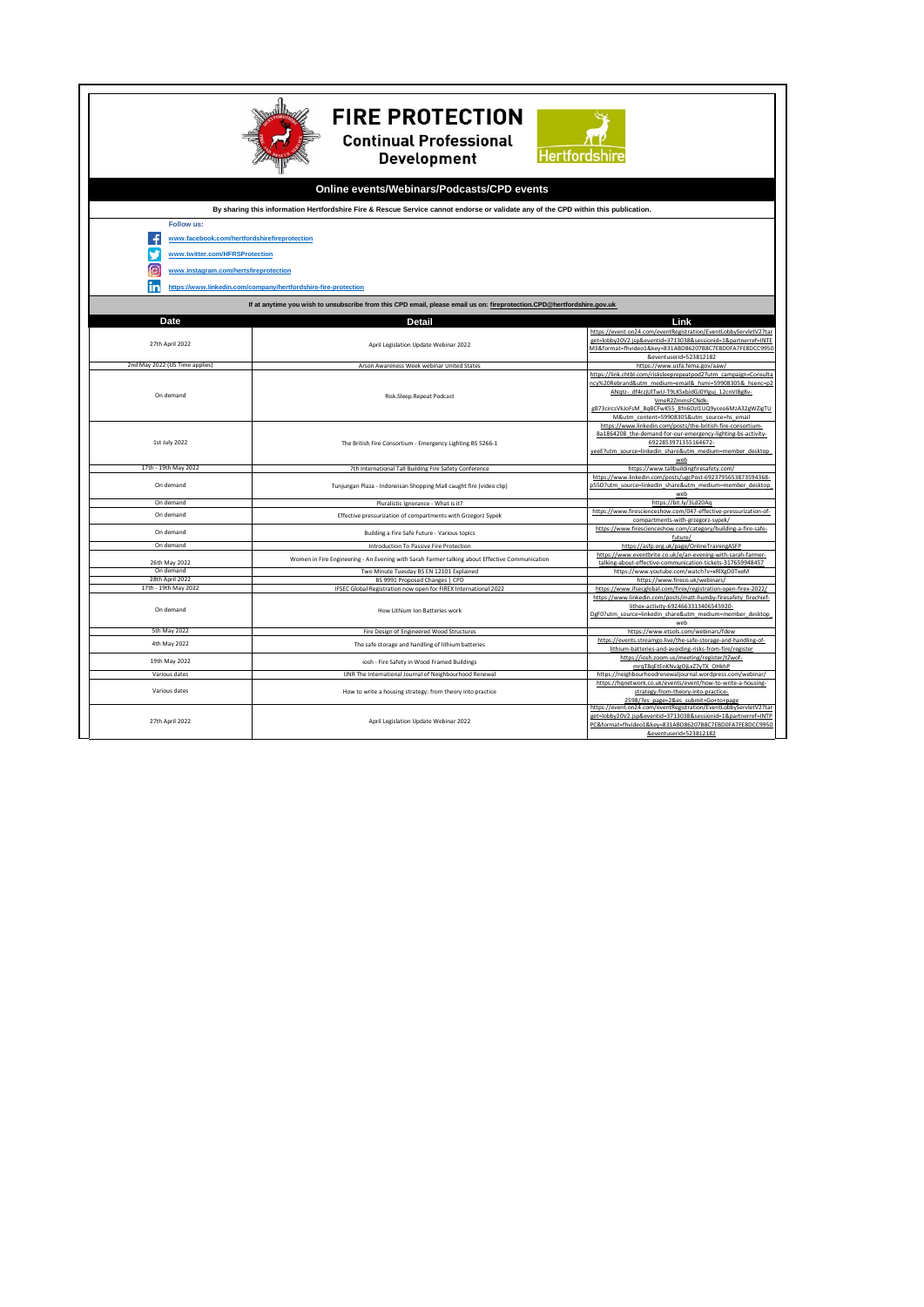| <b>FIRE PROTECTION</b><br><b>Continual Professional</b><br><b>Hertfordshire</b><br><b>Development</b>                              |                                                                                                                       |                                                                                                                                                                                                                                                                                                             |  |
|------------------------------------------------------------------------------------------------------------------------------------|-----------------------------------------------------------------------------------------------------------------------|-------------------------------------------------------------------------------------------------------------------------------------------------------------------------------------------------------------------------------------------------------------------------------------------------------------|--|
| Online events/Webinars/Podcasts/CPD events                                                                                         |                                                                                                                       |                                                                                                                                                                                                                                                                                                             |  |
| By sharing this information Hertfordshire Fire & Rescue Service cannot endorse or validate any of the CPD within this publication. |                                                                                                                       |                                                                                                                                                                                                                                                                                                             |  |
| Follow us:                                                                                                                         |                                                                                                                       |                                                                                                                                                                                                                                                                                                             |  |
| м<br>www.facebook.com/hertfordshirefireprotection<br>www.twitter.com/HFRSProtection<br>ি<br>www.instagram.com/hertsfireprotection  |                                                                                                                       |                                                                                                                                                                                                                                                                                                             |  |
| https://www.linkedin.com/company/hertfordshire-fire-protection                                                                     |                                                                                                                       |                                                                                                                                                                                                                                                                                                             |  |
| If at anytime you wish to unsubscribe from this CPD email, please email us on: fireprotection.CPD@hertfordshire.gov.uk             |                                                                                                                       |                                                                                                                                                                                                                                                                                                             |  |
| Date                                                                                                                               | <b>Detail</b>                                                                                                         | Link                                                                                                                                                                                                                                                                                                        |  |
| 27th April 2022                                                                                                                    | April Legislation Update Webinar 2022                                                                                 | https://event.on24.com/eventRegistration/EventLobbyServletV2?tar<br>get=lobby20V2.jsp&eventid=3713038&sessionid=1&partnerref=INTE<br>M3&format=fhvideo1&key=831ABD86207B8C7EBD0FA7FE8DCC995<br>&eventuserid=523812182                                                                                       |  |
| 2nd May 2022 (US Time applies)                                                                                                     | Arson Awareness Week webinar United States                                                                            | https://www.usfa.fema.gov/aaw/                                                                                                                                                                                                                                                                              |  |
| On demand                                                                                                                          | Risk.Sleep.Repeat Podcast                                                                                             | https://link.chtbl.com/risksleeprepeatpod2?utm_campaign=Consulta<br>ncy%20Rebrand&utm_medium=email&_hsmi=59908305&_hsenc=p2<br>ANgtz- df4rzjUlTwU-T9LKSxbJdGJ0Ylguj 12cnVIBg8v-<br>VmeR2ZmmsFCNdk-<br>gB73circsVkJoFsM_BqBCFwK55_8fn6Ozl1UQ9yceo6MzA32gWZigTU<br>M&utm content=59908305&utm source=hs email |  |
| 1st July 2022                                                                                                                      | The British Fire Consortium - Emergency Lighting BS 5266-1                                                            | https://www.linkedin.com/posts/the-british-fire-consortium-<br>8a1864208 the-demand-for-our-emergency-lighting-bs-activity-<br>6922853971355164672-<br>yeeE?utm_source=linkedin_share&utm_medium=member_desktop<br>web                                                                                      |  |
| 17th - 19th May 2022                                                                                                               | 7th International Tall Building Fire Safety Conference                                                                | https://www.tallbuildingfiresafety.com/                                                                                                                                                                                                                                                                     |  |
| On demand                                                                                                                          | Tunjungan Plaza - Indoneisan Shopping Mall caught fire (video clip)                                                   | https://www.linkedin.com/posts/ugcPost-6923795653873594368-<br>p55D?utm_source=linkedin_share&utm_medium=member_desktop<br>web                                                                                                                                                                              |  |
| On demand                                                                                                                          | Pluralistic Ignorance - What is it?                                                                                   | https://bit.ly/3Ld20Aq                                                                                                                                                                                                                                                                                      |  |
| On demand                                                                                                                          | Effective pressurization of compartments with Grzegorz Sypek                                                          | https://www.firescienceshow.com/047-effective-pressurization-of-<br>compartments-with-grzegorz-sypek/                                                                                                                                                                                                       |  |
| On demand<br>On demand                                                                                                             | Building a Fire Safe Future - Various topics<br>Introduction To Passive Fire Protection                               | https://www.firescienceshow.com/category/building-a-fire-safe-<br>future/                                                                                                                                                                                                                                   |  |
|                                                                                                                                    | Women in Fire Engineering - An Evening with Sarah Farmer talking about Effective Communication                        | https://asfp.org.uk/page/OnlineTrainingASFP<br>https://www.eventbrite.co.uk/e/an-evening-with-sarah-farmer-                                                                                                                                                                                                 |  |
| 26th May 2022<br>On demand                                                                                                         | Two Minute Tuesday BS EN 12101 Explained                                                                              | talking-about-effective-communication-tickets-317659948457                                                                                                                                                                                                                                                  |  |
| 28th April 2022                                                                                                                    | BS 9991 Proposed Changes   CPD                                                                                        | https://www.youtube.com/watch?v=xRlXgD0TxeM<br>https://www.fireco.uk/webinars/                                                                                                                                                                                                                              |  |
| 17th - 19th May 2022                                                                                                               | IFSEC Global Registration now open for FIREX International 2022                                                       | https://www.ifsecglobal.com/firex/registration-open-firex-2022/                                                                                                                                                                                                                                             |  |
| On demand                                                                                                                          | How Lithium Ion Batteries work                                                                                        | https://www.linkedin.com/posts/matt-humby-firesafety_firechief-<br>lithex-activity-6924663313406545920-<br>DgF0?utm_source=linkedin_share&utm_medium=member_desktop<br>web                                                                                                                                  |  |
| <b>5th May 2022</b>                                                                                                                | Fire Design of Engineered Wood Structures                                                                             | https://www.etsols.com/webinars/fdew                                                                                                                                                                                                                                                                        |  |
| 4th May 2022                                                                                                                       | The safe storage and handling of lithium batteries                                                                    | https://events.streamgo.live/the-safe-storage-and-handling-of-<br>lithium-batteries-and-avoiding-risks-from-fire/register<br>https://iosh.zoom.us/meeting/register/tZwof-                                                                                                                                   |  |
| 19th May 2022                                                                                                                      | iosh - Fire Safety in Wood Framed Buildings                                                                           | mrgT8gEtEnKNvJgOjLxZ7yTX_OHkhP                                                                                                                                                                                                                                                                              |  |
| Various dates<br>Various dates                                                                                                     | IJNR The International Journal of Neighbourhood Renewal<br>How to write a housing strategy: from theory into practice | https://neighbourhoodrenewaljournal.wordpress.com/webinar/<br>https://hqnetwork.co.uk/events/event/how-to-write-a-housing-<br>strategy-from-theory-into-practice-                                                                                                                                           |  |
| 27th April 2022                                                                                                                    | April Legislation Update Webinar 2022                                                                                 | 2598/?es page=2&es submit=Go+to+page<br>https://event.on24.com/eventRegistration/EventLobbyServletV2?tar<br>get=lobby20V2.jsp&eventid=3713038&sessionid=1&partnerref=INTP<br>PC&format=fhvideo1&key=831ABD86207B8C7EBD0FA7FE8DCC9950<br>&eventuserid=523812182                                              |  |